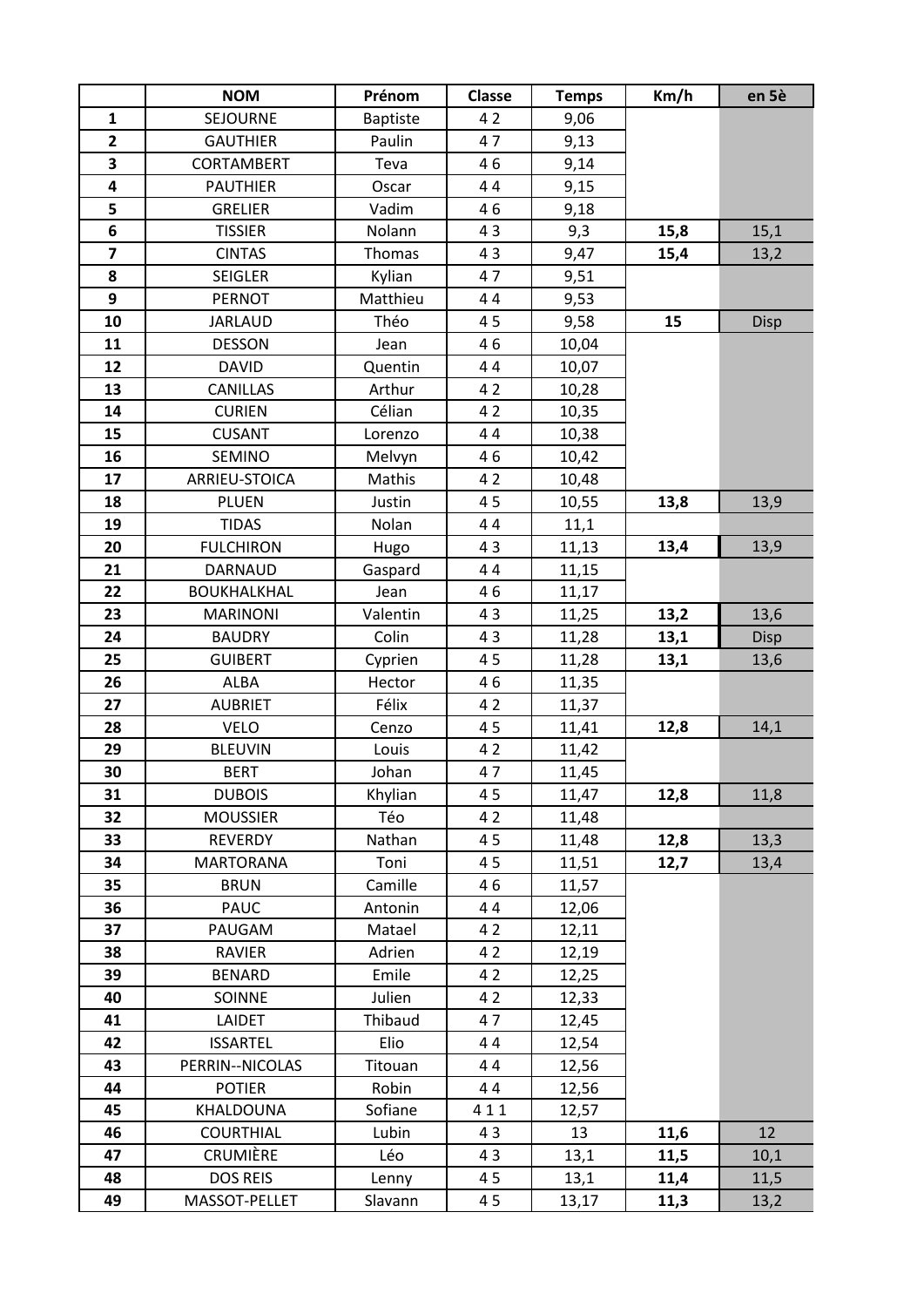|                         | <b>NOM</b>         | Prénom          | <b>Classe</b> | <b>Temps</b> | Km/h | en 5è |
|-------------------------|--------------------|-----------------|---------------|--------------|------|-------|
| $\mathbf{1}$            | SEJOURNE           | <b>Baptiste</b> | 42            | 9,06         |      |       |
| $\overline{\mathbf{2}}$ | <b>GAUTHIER</b>    | Paulin          | 47            | 9,13         |      |       |
| 3                       | <b>CORTAMBERT</b>  | Teva            | 46            | 9,14         |      |       |
| 4                       | <b>PAUTHIER</b>    | Oscar           | 44            | 9,15         |      |       |
| 5                       | <b>GRELIER</b>     | Vadim           | 46            | 9,18         |      |       |
| 6                       | <b>TISSIER</b>     | Nolann          | 43            | 9,3          | 15,8 | 15,1  |
| $\overline{\mathbf{z}}$ | <b>CINTAS</b>      | Thomas          | 43            | 9,47         | 15,4 | 13,2  |
| 8                       | <b>SEIGLER</b>     | Kylian          | 47            | 9,51         |      |       |
| 9                       | <b>PERNOT</b>      | Matthieu        | 44            | 9,53         |      |       |
| 10                      | <b>JARLAUD</b>     | Théo            | 45            | 9,58         | 15   | Disp  |
| 11                      | <b>DESSON</b>      | Jean            | 46            | 10,04        |      |       |
| 12                      | <b>DAVID</b>       | Quentin         | 44            | 10,07        |      |       |
| 13                      | <b>CANILLAS</b>    | Arthur          | 42            | 10,28        |      |       |
| 14                      | <b>CURIEN</b>      | Célian          | 42            | 10,35        |      |       |
| 15                      | <b>CUSANT</b>      | Lorenzo         | 44            | 10,38        |      |       |
| 16                      | <b>SEMINO</b>      | Melvyn          | 46            | 10,42        |      |       |
| 17                      | ARRIEU-STOICA      | Mathis          | 42            | 10,48        |      |       |
| 18                      | <b>PLUEN</b>       | Justin          | 45            | 10,55        | 13,8 | 13,9  |
| 19                      | <b>TIDAS</b>       | Nolan           | 44            | 11,1         |      |       |
| 20                      | <b>FULCHIRON</b>   | Hugo            | 43            | 11,13        | 13,4 | 13,9  |
| 21                      | <b>DARNAUD</b>     | Gaspard         | 44            | 11,15        |      |       |
| 22                      | <b>BOUKHALKHAL</b> | Jean            | 46            | 11,17        |      |       |
| 23                      | <b>MARINONI</b>    | Valentin        | 43            | 11,25        | 13,2 | 13,6  |
| 24                      | <b>BAUDRY</b>      | Colin           | 43            | 11,28        | 13,1 | Disp  |
| 25                      | <b>GUIBERT</b>     | Cyprien         | 45            | 11,28        | 13,1 | 13,6  |
| 26                      | <b>ALBA</b>        | Hector          | 46            | 11,35        |      |       |
| 27                      | <b>AUBRIET</b>     | Félix           | 42            | 11,37        |      |       |
| 28                      | <b>VELO</b>        | Cenzo           | 45            | 11,41        | 12,8 | 14,1  |
| 29                      | <b>BLEUVIN</b>     | Louis           | 42            | 11,42        |      |       |
| 30                      | <b>BERT</b>        | Johan           | 47            | 11,45        |      |       |
| 31                      | <b>DUBOIS</b>      | Khylian         | 45            | 11,47        | 12,8 | 11,8  |
| 32                      | <b>MOUSSIER</b>    | Téo             | 42            | 11,48        |      |       |
| 33                      | <b>REVERDY</b>     | Nathan          | 45            | 11,48        | 12,8 | 13,3  |
| 34                      | <b>MARTORANA</b>   | Toni            | 45            | 11,51        | 12,7 | 13,4  |
| 35                      | <b>BRUN</b>        | Camille         | 46            | 11,57        |      |       |
| 36                      | <b>PAUC</b>        | Antonin         | 44            | 12,06        |      |       |
| 37                      | PAUGAM             | Matael          | 42            | 12,11        |      |       |
| 38                      | RAVIER             | Adrien          | 42            | 12,19        |      |       |
| 39                      | <b>BENARD</b>      | Emile           | 42            | 12,25        |      |       |
| 40                      | SOINNE             | Julien          | 42            | 12,33        |      |       |
| 41                      | LAIDET             | Thibaud         | 47            | 12,45        |      |       |
| 42                      | <b>ISSARTEL</b>    | Elio            | 44            | 12,54        |      |       |
| 43                      | PERRIN--NICOLAS    | Titouan         | 44            | 12,56        |      |       |
| 44                      | <b>POTIER</b>      | Robin           | 44            | 12,56        |      |       |
| 45                      | KHALDOUNA          | Sofiane         | 411           | 12,57        |      |       |
| 46                      | <b>COURTHIAL</b>   | Lubin           | 43            | 13           | 11,6 | 12    |
| 47                      | CRUMIÈRE           | Léo             | 43            | 13,1         | 11,5 | 10,1  |
| 48                      | <b>DOS REIS</b>    | Lenny           | 45            | 13,1         | 11,4 | 11,5  |
| 49                      | MASSOT-PELLET      | Slavann         | 45            | 13,17        | 11,3 | 13,2  |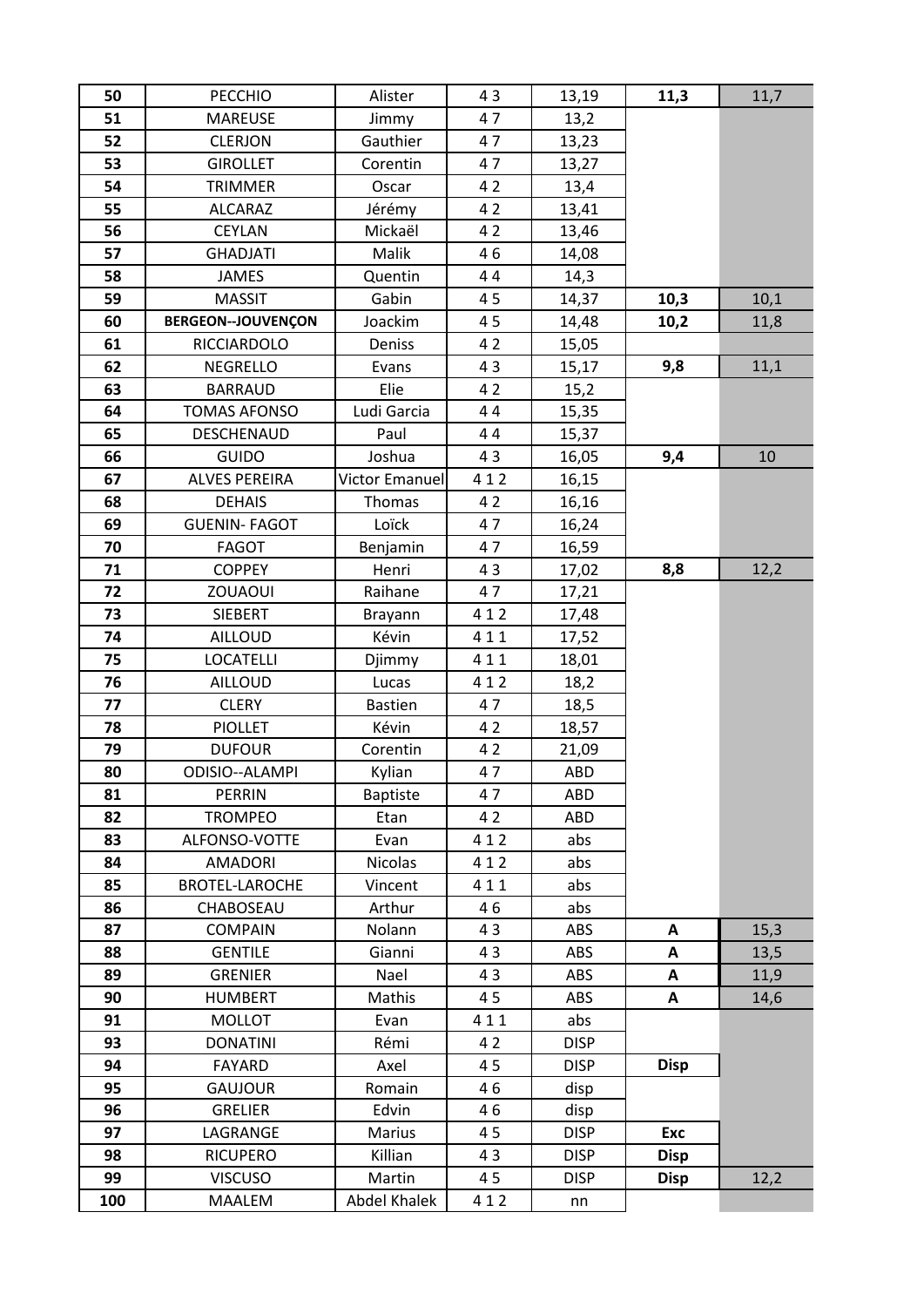| 50  | <b>PECCHIO</b>            | Alister               | 43  | 13,19       | 11,3        | 11,7 |
|-----|---------------------------|-----------------------|-----|-------------|-------------|------|
| 51  | <b>MAREUSE</b>            | Jimmy                 | 47  | 13,2        |             |      |
| 52  | <b>CLERJON</b>            | Gauthier              | 47  | 13,23       |             |      |
| 53  | <b>GIROLLET</b>           | Corentin              | 47  | 13,27       |             |      |
| 54  | <b>TRIMMER</b>            | Oscar                 | 42  | 13,4        |             |      |
| 55  | <b>ALCARAZ</b>            | Jérémy                | 42  | 13,41       |             |      |
| 56  | <b>CEYLAN</b>             | Mickaël               | 42  | 13,46       |             |      |
| 57  | <b>GHADJATI</b>           | Malik                 | 46  | 14,08       |             |      |
| 58  | <b>JAMES</b>              | Quentin               | 44  | 14,3        |             |      |
| 59  | <b>MASSIT</b>             | Gabin                 | 45  | 14,37       | 10,3        | 10,1 |
| 60  | <b>BERGEON--JOUVENÇON</b> | Joackim               | 45  | 14,48       | 10,2        | 11,8 |
| 61  | <b>RICCIARDOLO</b>        | Deniss                | 42  | 15,05       |             |      |
| 62  | <b>NEGRELLO</b>           | Evans                 | 43  | 15,17       | 9,8         | 11,1 |
| 63  | <b>BARRAUD</b>            | Elie                  | 42  | 15,2        |             |      |
| 64  | <b>TOMAS AFONSO</b>       | Ludi Garcia           | 44  | 15,35       |             |      |
| 65  | DESCHENAUD                | Paul                  | 44  | 15,37       |             |      |
| 66  | <b>GUIDO</b>              | Joshua                | 43  | 16,05       | 9,4         | 10   |
| 67  | <b>ALVES PEREIRA</b>      | <b>Victor Emanuel</b> | 412 | 16,15       |             |      |
| 68  | <b>DEHAIS</b>             | Thomas                | 42  | 16,16       |             |      |
| 69  | <b>GUENIN- FAGOT</b>      | Loïck                 | 47  | 16,24       |             |      |
| 70  | <b>FAGOT</b>              | Benjamin              | 47  | 16,59       |             |      |
| 71  | <b>COPPEY</b>             | Henri                 | 43  | 17,02       | 8,8         | 12,2 |
| 72  | <b>ZOUAOUI</b>            | Raihane               | 47  | 17,21       |             |      |
| 73  | <b>SIEBERT</b>            | Brayann               | 412 | 17,48       |             |      |
| 74  | <b>AILLOUD</b>            | Kévin                 | 411 | 17,52       |             |      |
| 75  | <b>LOCATELLI</b>          | Djimmy                | 411 | 18,01       |             |      |
| 76  | <b>AILLOUD</b>            | Lucas                 | 412 | 18,2        |             |      |
| 77  | <b>CLERY</b>              | <b>Bastien</b>        | 47  | 18,5        |             |      |
| 78  | <b>PIOLLET</b>            | Kévin                 | 42  | 18,57       |             |      |
| 79  | <b>DUFOUR</b>             | Corentin              | 42  | 21,09       |             |      |
| 80  | ODISIO--ALAMPI            | Kylian                | 47  | ABD         |             |      |
| 81  | PERRIN                    | <b>Baptiste</b>       | 47  | ABD         |             |      |
| 82  | <b>TROMPEO</b>            | Etan                  | 42  | ABD         |             |      |
| 83  | ALFONSO-VOTTE             | Evan                  | 412 | abs         |             |      |
| 84  | <b>AMADORI</b>            | <b>Nicolas</b>        | 412 | abs         |             |      |
| 85  | <b>BROTEL-LAROCHE</b>     | Vincent               | 411 | abs         |             |      |
| 86  | CHABOSEAU                 | Arthur                | 46  | abs         |             |      |
| 87  | <b>COMPAIN</b>            | Nolann                | 43  | ABS         | A           | 15,3 |
| 88  | <b>GENTILE</b>            | Gianni                | 43  | ABS         | A           | 13,5 |
| 89  | <b>GRENIER</b>            | Nael                  | 43  | ABS         | A           | 11,9 |
| 90  | <b>HUMBERT</b>            | Mathis                | 45  | ABS         | Α           | 14,6 |
| 91  | <b>MOLLOT</b>             | Evan                  | 411 | abs         |             |      |
| 93  | <b>DONATINI</b>           | Rémi                  | 42  | <b>DISP</b> |             |      |
| 94  | <b>FAYARD</b>             | Axel                  | 45  | <b>DISP</b> | <b>Disp</b> |      |
| 95  | <b>GAUJOUR</b>            | Romain                | 46  | disp        |             |      |
| 96  | <b>GRELIER</b>            | Edvin                 | 46  | disp        |             |      |
| 97  | LAGRANGE                  | Marius                | 45  | <b>DISP</b> | Exc         |      |
| 98  | <b>RICUPERO</b>           | Killian               | 43  | <b>DISP</b> | <b>Disp</b> |      |
| 99  | <b>VISCUSO</b>            | Martin                | 45  | <b>DISP</b> | <b>Disp</b> | 12,2 |
| 100 | MAALEM                    | <b>Abdel Khalek</b>   | 412 | nn          |             |      |